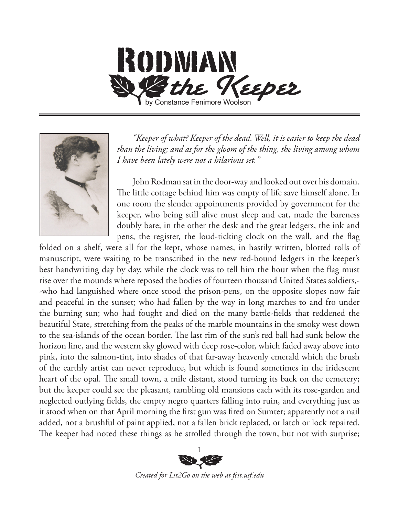

*"Keeper of what? Keeper of the dead. Well, it is easier to keep the dead than the living; and as for the gloom of the thing, the living among whom I have been lately were not a hilarious set."*

John Rodman sat in the door-way and looked out over his domain. The little cottage behind him was empty of life save himself alone. In one room the slender appointments provided by government for the keeper, who being still alive must sleep and eat, made the bareness doubly bare; in the other the desk and the great ledgers, the ink and pens, the register, the loud-ticking clock on the wall, and the flag

folded on a shelf, were all for the kept, whose names, in hastily written, blotted rolls of manuscript, were waiting to be transcribed in the new red-bound ledgers in the keeper's best handwriting day by day, while the clock was to tell him the hour when the flag must rise over the mounds where reposed the bodies of fourteen thousand United States soldiers,- -who had languished where once stood the prison-pens, on the opposite slopes now fair and peaceful in the sunset; who had fallen by the way in long marches to and fro under the burning sun; who had fought and died on the many battle-fields that reddened the beautiful State, stretching from the peaks of the marble mountains in the smoky west down to the sea-islands of the ocean border. The last rim of the sun's red ball had sunk below the horizon line, and the western sky glowed with deep rose-color, which faded away above into pink, into the salmon-tint, into shades of that far-away heavenly emerald which the brush of the earthly artist can never reproduce, but which is found sometimes in the iridescent heart of the opal. The small town, a mile distant, stood turning its back on the cemetery; but the keeper could see the pleasant, rambling old mansions each with its rose-garden and neglected outlying fields, the empty negro quarters falling into ruin, and everything just as it stood when on that April morning the first gun was fired on Sumter; apparently not a nail added, not a brushful of paint applied, not a fallen brick replaced, or latch or lock repaired. The keeper had noted these things as he strolled through the town, but not with surprise;

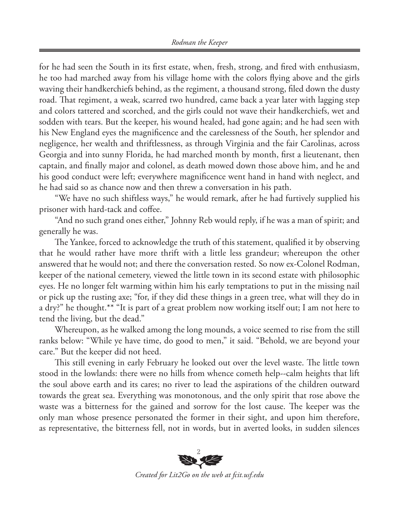for he had seen the South in its first estate, when, fresh, strong, and fired with enthusiasm, he too had marched away from his village home with the colors flying above and the girls waving their handkerchiefs behind, as the regiment, a thousand strong, filed down the dusty road. That regiment, a weak, scarred two hundred, came back a year later with lagging step and colors tattered and scorched, and the girls could not wave their handkerchiefs, wet and sodden with tears. But the keeper, his wound healed, had gone again; and he had seen with his New England eyes the magnificence and the carelessness of the South, her splendor and negligence, her wealth and thriftlessness, as through Virginia and the fair Carolinas, across Georgia and into sunny Florida, he had marched month by month, first a lieutenant, then captain, and finally major and colonel, as death mowed down those above him, and he and his good conduct were left; everywhere magnificence went hand in hand with neglect, and he had said so as chance now and then threw a conversation in his path.

"We have no such shiftless ways," he would remark, after he had furtively supplied his prisoner with hard-tack and coffee.

"And no such grand ones either," Johnny Reb would reply, if he was a man of spirit; and generally he was.

The Yankee, forced to acknowledge the truth of this statement, qualified it by observing that he would rather have more thrift with a little less grandeur; whereupon the other answered that he would not; and there the conversation rested. So now ex-Colonel Rodman, keeper of the national cemetery, viewed the little town in its second estate with philosophic eyes. He no longer felt warming within him his early temptations to put in the missing nail or pick up the rusting axe; "for, if they did these things in a green tree, what will they do in a dry?" he thought.\*\* "It is part of a great problem now working itself out; I am not here to tend the living, but the dead."

Whereupon, as he walked among the long mounds, a voice seemed to rise from the still ranks below: "While ye have time, do good to men," it said. "Behold, we are beyond your care." But the keeper did not heed.

This still evening in early February he looked out over the level waste. The little town stood in the lowlands: there were no hills from whence cometh help--calm heights that lift the soul above earth and its cares; no river to lead the aspirations of the children outward towards the great sea. Everything was monotonous, and the only spirit that rose above the waste was a bitterness for the gained and sorrow for the lost cause. The keeper was the only man whose presence personated the former in their sight, and upon him therefore, as representative, the bitterness fell, not in words, but in averted looks, in sudden silences



*Created for Lit2Go on the web at fcit.usf.edu*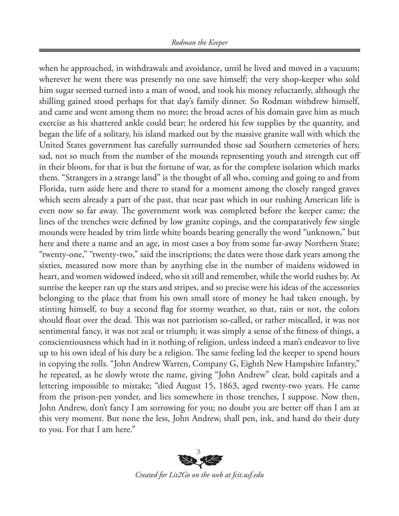when he approached, in withdrawals and avoidance, until he lived and moved in a vacuum; wherever he went there was presently no one save himself; the very shop-keeper who sold him sugar seemed turned into a man of wood, and took his money reluctantly, although the shilling gained stood perhaps for that day's family dinner. So Rodman withdrew himself, and came and went among them no more; the broad acres of his domain gave him as much exercise as his shattered ankle could bear; he ordered his few supplies by the quantity, and began the life of a solitary, his island marked out by the massive granite wall with which the United States government has carefully surrounded those sad Southern cemeteries of hers; sad, not so much from the number of the mounds representing youth and strength cut off in their bloom, for that is but the fortune of war, as for the complete isolation which marks them. "Strangers in a strange land" is the thought of all who, coming and going to and from Florida, turn aside here and there to stand for a moment among the closely ranged graves which seem already a part of the past, that near past which in our rushing American life is even now so far away. The government work was completed before the keeper came; the lines of the trenches were defined by low granite copings, and the comparatively few single mounds were headed by trim little white boards bearing generally the word "unknown," but here and there a name and an age, in most cases a boy from some far-away Northern State; "twenty-one," "twenty-two," said the inscriptions; the dates were those dark years among the sixties, measured now more than by anything else in the number of maidens widowed in heart, and women widowed indeed, who sit still and remember, while the world rushes by. At sunrise the keeper ran up the stars and stripes, and so precise were his ideas of the accessories belonging to the place that from his own small store of money he had taken enough, by stinting himself, to buy a second flag for stormy weather, so that, rain or not, the colors should float over the dead. This was not patriotism so-called, or rather miscalled, it was not sentimental fancy, it was not zeal or triumph; it was simply a sense of the fitness of things, a conscientiousness which had in it nothing of religion, unless indeed a man's endeavor to live up to his own ideal of his duty be a religion. The same feeling led the keeper to spend hours in copying the rolls. "John Andrew Warren, Company G, Eighth New Hampshire Infantry," he repeated, as he slowly wrote the name, giving "John Andrew" clear, bold capitals and a lettering impossible to mistake; "died August 15, 1863, aged twenty-two years. He came from the prison-pen yonder, and lies somewhere in those trenches, I suppose. Now then, John Andrew, don't fancy I am sorrowing for you; no doubt you are better off than I am at this very moment. But none the less, John Andrew, shall pen, ink, and hand do their duty to you. For that I am here."



*Created for Lit2Go on the web at fcit.usf.edu*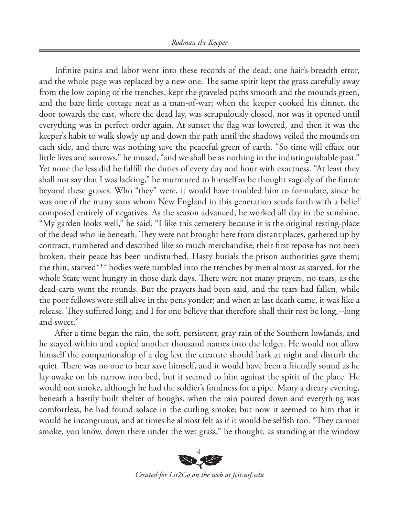Infinite pains and labor went into these records of the dead; one hair's-breadth error, and the whole page was replaced by a new one. The same spirit kept the grass carefully away from the low coping of the trenches, kept the graveled paths smooth and the mounds green, and the bare little cottage neat as a man-of-war; when the keeper cooked his dinner, the door towards the east, where the dead lay, was scrupulously closed, nor was it opened until everything was in perfect order again. At sunset the flag was lowered, and then it was the keeper's habit to walk slowly up and down the path until the shadows veiled the mounds on each side, and there was nothing save the peaceful green of earth. "So time will efface our little lives and sorrows," he mused, "and we shall be as nothing in the indistinguishable past." Yet none the less did he fulfill the duties of every day and hour with exactness. "At least they shall not say that I was lacking," he murmured to himself as he thought vaguely of the future beyond these graves. Who "they" were, it would have troubled him to formulate, since he was one of the many sons whom New England in this generation sends forth with a belief composed entirely of negatives. As the season advanced, he worked all day in the sunshine. "My garden looks well," he said. "I like this cemetery because it is the original resting-place of the dead who lie beneath. They were not brought here from distant places, gathered up by contract, numbered and described like so much merchandise; their first repose has not been broken, their peace has been undisturbed. Hasty burials the prison authorities gave them; the thin, starved\*\*\* bodies were tumbled into the trenches by men almost as starved, for the whole State went hungry in those dark days. There were not many prayers, no tears, as the dead-carts went the rounds. But the prayers had been said, and the tears had fallen, while the poor fellows were still alive in the pens yonder; and when at last death came, it was like a release. They suffered long; and I for one believe that therefore shall their rest be long,--long and sweet."

After a time began the rain, the soft, persistent, gray rain of the Southern lowlands, and he stayed within and copied another thousand names into the ledger. He would not allow himself the companionship of a dog lest the creature should bark at night and disturb the quiet. There was no one to hear save himself, and it would have been a friendly sound as he lay awake on his narrow iron bed, but it seemed to him against the spirit of the place. He would not smoke, although he had the soldier's fondness for a pipe. Many a dreary evening, beneath a hastily built shelter of boughs, when the rain poured down and everything was comfortless, he had found solace in the curling smoke; but now it seemed to him that it would be incongruous, and at times he almost felt as if it would be selfish too. "They cannot smoke, you know, down there under the wet grass," he thought, as standing at the window



*Created for Lit2Go on the web at fcit.usf.edu*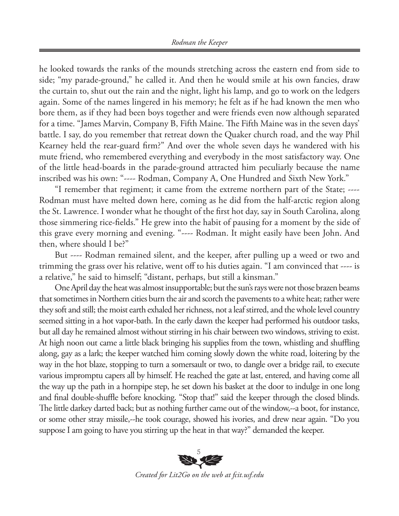he looked towards the ranks of the mounds stretching across the eastern end from side to side; "my parade-ground," he called it. And then he would smile at his own fancies, draw the curtain to, shut out the rain and the night, light his lamp, and go to work on the ledgers again. Some of the names lingered in his memory; he felt as if he had known the men who bore them, as if they had been boys together and were friends even now although separated for a time. "James Marvin, Company B, Fifth Maine. The Fifth Maine was in the seven days' battle. I say, do you remember that retreat down the Quaker church road, and the way Phil Kearney held the rear-guard firm?" And over the whole seven days he wandered with his mute friend, who remembered everything and everybody in the most satisfactory way. One of the little head-boards in the parade-ground attracted him peculiarly because the name inscribed was his own: "---- Rodman, Company A, One Hundred and Sixth New York."

"I remember that regiment; it came from the extreme northern part of the State; ---- Rodman must have melted down here, coming as he did from the half-arctic region along the St. Lawrence. I wonder what he thought of the first hot day, say in South Carolina, along those simmering rice-fields." He grew into the habit of pausing for a moment by the side of this grave every morning and evening. "---- Rodman. It might easily have been John. And then, where should I be?"

But ---- Rodman remained silent, and the keeper, after pulling up a weed or two and trimming the grass over his relative, went off to his duties again. "I am convinced that ---- is a relative," he said to himself; "distant, perhaps, but still a kinsman."

One April day the heat was almost insupportable; but the sun's rays were not those brazen beams that sometimes in Northern cities burn the air and scorch the pavements to a white heat; rather were they soft and still; the moist earth exhaled her richness, not a leaf stirred, and the whole level country seemed sitting in a hot vapor-bath. In the early dawn the keeper had performed his outdoor tasks, but all day he remained almost without stirring in his chair between two windows, striving to exist. At high noon out came a little black bringing his supplies from the town, whistling and shuffling along, gay as a lark; the keeper watched him coming slowly down the white road, loitering by the way in the hot blaze, stopping to turn a somersault or two, to dangle over a bridge rail, to execute various impromptu capers all by himself. He reached the gate at last, entered, and having come all the way up the path in a hornpipe step, he set down his basket at the door to indulge in one long and final double-shuffle before knocking. "Stop that!" said the keeper through the closed blinds. The little darkey darted back; but as nothing further came out of the window,--a boot, for instance, or some other stray missile,--he took courage, showed his ivories, and drew near again. "Do you suppose I am going to have you stirring up the heat in that way?" demanded the keeper.

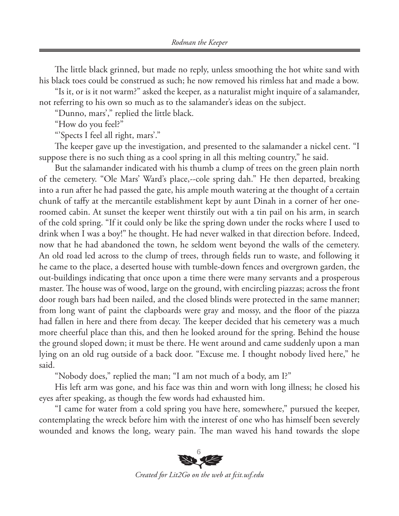The little black grinned, but made no reply, unless smoothing the hot white sand with his black toes could be construed as such; he now removed his rimless hat and made a bow.

"Is it, or is it not warm?" asked the keeper, as a naturalist might inquire of a salamander, not referring to his own so much as to the salamander's ideas on the subject.

"Dunno, mars'," replied the little black.

"How do you feel?"

"'Spects I feel all right, mars'."

The keeper gave up the investigation, and presented to the salamander a nickel cent. "I suppose there is no such thing as a cool spring in all this melting country," he said.

But the salamander indicated with his thumb a clump of trees on the green plain north of the cemetery. "Ole Mars' Ward's place,--cole spring dah." He then departed, breaking into a run after he had passed the gate, his ample mouth watering at the thought of a certain chunk of taffy at the mercantile establishment kept by aunt Dinah in a corner of her oneroomed cabin. At sunset the keeper went thirstily out with a tin pail on his arm, in search of the cold spring. "If it could only be like the spring down under the rocks where I used to drink when I was a boy!" he thought. He had never walked in that direction before. Indeed, now that he had abandoned the town, he seldom went beyond the walls of the cemetery. An old road led across to the clump of trees, through fields run to waste, and following it he came to the place, a deserted house with tumble-down fences and overgrown garden, the out-buildings indicating that once upon a time there were many servants and a prosperous master. The house was of wood, large on the ground, with encircling piazzas; across the front door rough bars had been nailed, and the closed blinds were protected in the same manner; from long want of paint the clapboards were gray and mossy, and the floor of the piazza had fallen in here and there from decay. The keeper decided that his cemetery was a much more cheerful place than this, and then he looked around for the spring. Behind the house the ground sloped down; it must be there. He went around and came suddenly upon a man lying on an old rug outside of a back door. "Excuse me. I thought nobody lived here," he said.

"Nobody does," replied the man; "I am not much of a body, am I?"

His left arm was gone, and his face was thin and worn with long illness; he closed his eyes after speaking, as though the few words had exhausted him.

"I came for water from a cold spring you have here, somewhere," pursued the keeper, contemplating the wreck before him with the interest of one who has himself been severely wounded and knows the long, weary pain. The man waved his hand towards the slope



*Created for Lit2Go on the web at fcit.usf.edu*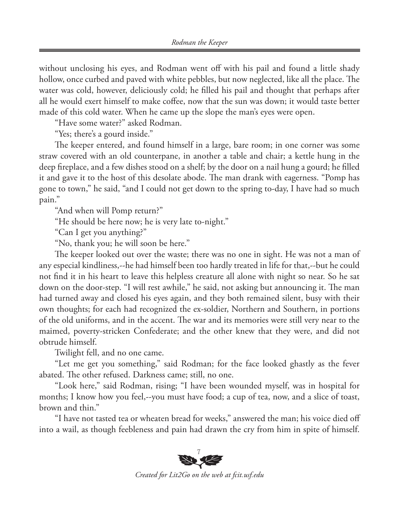without unclosing his eyes, and Rodman went off with his pail and found a little shady hollow, once curbed and paved with white pebbles, but now neglected, like all the place. The water was cold, however, deliciously cold; he filled his pail and thought that perhaps after all he would exert himself to make coffee, now that the sun was down; it would taste better made of this cold water. When he came up the slope the man's eyes were open.

"Have some water?" asked Rodman.

"Yes; there's a gourd inside."

The keeper entered, and found himself in a large, bare room; in one corner was some straw covered with an old counterpane, in another a table and chair; a kettle hung in the deep fireplace, and a few dishes stood on a shelf; by the door on a nail hung a gourd; he filled it and gave it to the host of this desolate abode. The man drank with eagerness. "Pomp has gone to town," he said, "and I could not get down to the spring to-day, I have had so much pain."

"And when will Pomp return?"

"He should be here now; he is very late to-night."

"Can I get you anything?"

"No, thank you; he will soon be here."

The keeper looked out over the waste; there was no one in sight. He was not a man of any especial kindliness,--he had himself been too hardly treated in life for that,--but he could not find it in his heart to leave this helpless creature all alone with night so near. So he sat down on the door-step. "I will rest awhile," he said, not asking but announcing it. The man had turned away and closed his eyes again, and they both remained silent, busy with their own thoughts; for each had recognized the ex-soldier, Northern and Southern, in portions of the old uniforms, and in the accent. The war and its memories were still very near to the maimed, poverty-stricken Confederate; and the other knew that they were, and did not obtrude himself.

Twilight fell, and no one came.

"Let me get you something," said Rodman; for the face looked ghastly as the fever abated. The other refused. Darkness came; still, no one.

"Look here," said Rodman, rising; "I have been wounded myself, was in hospital for months; I know how you feel,--you must have food; a cup of tea, now, and a slice of toast, brown and thin."

"I have not tasted tea or wheaten bread for weeks," answered the man; his voice died off into a wail, as though feebleness and pain had drawn the cry from him in spite of himself.



*Created for Lit2Go on the web at fcit.usf.edu*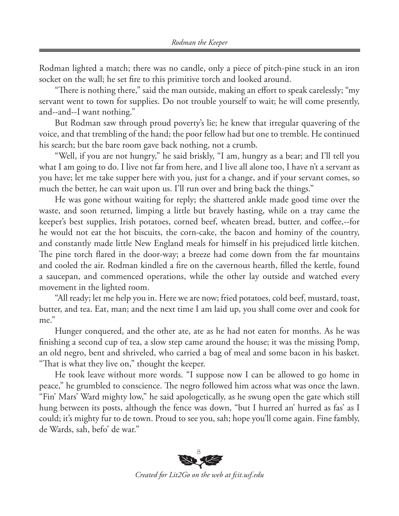Rodman lighted a match; there was no candle, only a piece of pitch-pine stuck in an iron socket on the wall; he set fire to this primitive torch and looked around.

"There is nothing there," said the man outside, making an effort to speak carelessly; "my servant went to town for supplies. Do not trouble yourself to wait; he will come presently, and--and--I want nothing."

But Rodman saw through proud poverty's lie; he knew that irregular quavering of the voice, and that trembling of the hand; the poor fellow had but one to tremble. He continued his search; but the bare room gave back nothing, not a crumb.

"Well, if you are not hungry," he said briskly, "I am, hungry as a bear; and I'll tell you what I am going to do. I live not far from here, and I live all alone too, I have n't a servant as you have; let me take supper here with you, just for a change, and if your servant comes, so much the better, he can wait upon us. I'll run over and bring back the things."

He was gone without waiting for reply; the shattered ankle made good time over the waste, and soon returned, limping a little but bravely hasting, while on a tray came the keeper's best supplies, Irish potatoes, corned beef, wheaten bread, butter, and coffee,--for he would not eat the hot biscuits, the corn-cake, the bacon and hominy of the country, and constantly made little New England meals for himself in his prejudiced little kitchen. The pine torch flared in the door-way; a breeze had come down from the far mountains and cooled the air. Rodman kindled a fire on the cavernous hearth, filled the kettle, found a saucepan, and commenced operations, while the other lay outside and watched every movement in the lighted room.

"All ready; let me help you in. Here we are now; fried potatoes, cold beef, mustard, toast, butter, and tea. Eat, man; and the next time I am laid up, you shall come over and cook for me."

Hunger conquered, and the other ate, ate as he had not eaten for months. As he was finishing a second cup of tea, a slow step came around the house; it was the missing Pomp, an old negro, bent and shriveled, who carried a bag of meal and some bacon in his basket. "That is what they live on," thought the keeper.

He took leave without more words. "I suppose now I can be allowed to go home in peace," he grumbled to conscience. The negro followed him across what was once the lawn. "Fin' Mars' Ward mighty low," he said apologetically, as he swung open the gate which still hung between its posts, although the fence was down, "but I hurred an' hurred as fas' as I could; it's mighty fur to de town. Proud to see you, sah; hope you'll come again. Fine fambly, de Wards, sah, befo' de war."



*Created for Lit2Go on the web at fcit.usf.edu*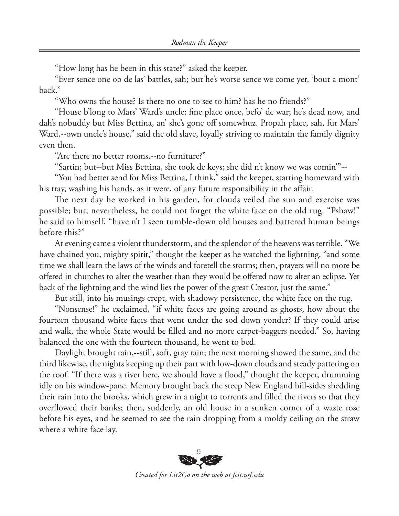"How long has he been in this state?" asked the keeper.

"Ever sence one ob de las' battles, sah; but he's worse sence we come yer, 'bout a mont' back."

"Who owns the house? Is there no one to see to him? has he no friends?"

"House b'long to Mars' Ward's uncle; fine place once, befo' de war; he's dead now, and dah's nobuddy but Miss Bettina, an' she's gone off somewhuz. Propah place, sah, fur Mars' Ward,--own uncle's house," said the old slave, loyally striving to maintain the family dignity even then.

"Are there no better rooms,--no furniture?"

"Sartin; but--but Miss Bettina, she took de keys; she did n't know we was comin'"--

"You had better send for Miss Bettina, I think," said the keeper, starting homeward with his tray, washing his hands, as it were, of any future responsibility in the affair.

The next day he worked in his garden, for clouds veiled the sun and exercise was possible; but, nevertheless, he could not forget the white face on the old rug. "Pshaw!" he said to himself, "have n't I seen tumble-down old houses and battered human beings before this?"

At evening came a violent thunderstorm, and the splendor of the heavens was terrible. "We have chained you, mighty spirit," thought the keeper as he watched the lightning, "and some time we shall learn the laws of the winds and foretell the storms; then, prayers will no more be offered in churches to alter the weather than they would be offered now to alter an eclipse. Yet back of the lightning and the wind lies the power of the great Creator, just the same."

But still, into his musings crept, with shadowy persistence, the white face on the rug.

"Nonsense!" he exclaimed, "if white faces are going around as ghosts, how about the fourteen thousand white faces that went under the sod down yonder? If they could arise and walk, the whole State would be filled and no more carpet-baggers needed." So, having balanced the one with the fourteen thousand, he went to bed.

Daylight brought rain,--still, soft, gray rain; the next morning showed the same, and the third likewise, the nights keeping up their part with low-down clouds and steady pattering on the roof. "If there was a river here, we should have a flood," thought the keeper, drumming idly on his window-pane. Memory brought back the steep New England hill-sides shedding their rain into the brooks, which grew in a night to torrents and filled the rivers so that they overflowed their banks; then, suddenly, an old house in a sunken corner of a waste rose before his eyes, and he seemed to see the rain dropping from a moldy ceiling on the straw where a white face lay.



*Created for Lit2Go on the web at fcit.usf.edu*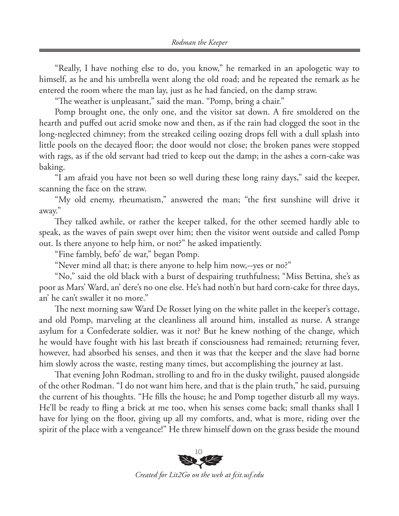"Really, I have nothing else to do, you know," he remarked in an apologetic way to himself, as he and his umbrella went along the old road; and he repeated the remark as he entered the room where the man lay, just as he had fancied, on the damp straw.

"The weather is unpleasant," said the man. "Pomp, bring a chair."

Pomp brought one, the only one, and the visitor sat down. A fire smoldered on the hearth and puffed out acrid smoke now and then, as if the rain had clogged the soot in the long-neglected chimney; from the streaked ceiling oozing drops fell with a dull splash into little pools on the decayed floor; the door would not close; the broken panes were stopped with rags, as if the old servant had tried to keep out the damp; in the ashes a corn-cake was baking.

"I am afraid you have not been so well during these long rainy days," said the keeper, scanning the face on the straw.

"My old enemy, rheumatism," answered the man; "the first sunshine will drive it away."

They talked awhile, or rather the keeper talked, for the other seemed hardly able to speak, as the waves of pain swept over him; then the visitor went outside and called Pomp out. Is there anyone to help him, or not?" he asked impatiently.

"Fine fambly, befo' de war," began Pomp.

"Never mind all that; is there anyone to help him now,--yes or no?"

"No," said the old black with a burst of despairing truthfulness; "Miss Bettina, she's as poor as Mars' Ward, an' dere's no one else. He's had noth'n but hard corn-cake for three days, an' he can't swaller it no more."

The next morning saw Ward De Rosset lying on the white pallet in the keeper's cottage, and old Pomp, marveling at the cleanliness all around him, installed as nurse. A strange asylum for a Confederate soldier, was it not? But he knew nothing of the change, which he would have fought with his last breath if consciousness had remained; returning fever, however, had absorbed his senses, and then it was that the keeper and the slave had borne him slowly across the waste, resting many times, but accomplishing the journey at last.

That evening John Rodman, strolling to and fro in the dusky twilight, paused alongside of the other Rodman. "I do not want him here, and that is the plain truth," he said, pursuing the current of his thoughts. "He fills the house; he and Pomp together disturb all my ways. He'll be ready to fling a brick at me too, when his senses come back; small thanks shall I have for lying on the floor, giving up all my comforts, and, what is more, riding over the spirit of the place with a vengeance!" He threw himself down on the grass beside the mound



*Created for Lit2Go on the web at fcit.usf.edu*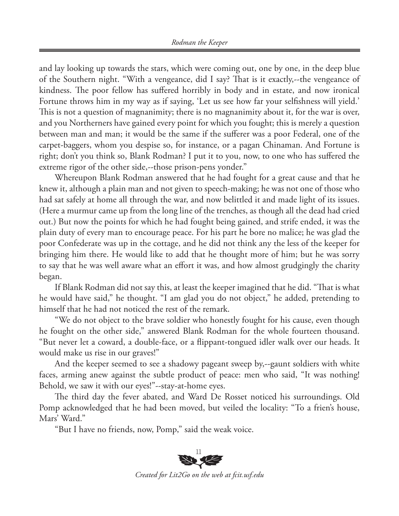and lay looking up towards the stars, which were coming out, one by one, in the deep blue of the Southern night. "With a vengeance, did I say? That is it exactly,--the vengeance of kindness. The poor fellow has suffered horribly in body and in estate, and now ironical Fortune throws him in my way as if saying, 'Let us see how far your selfishness will yield.' This is not a question of magnanimity; there is no magnanimity about it, for the war is over, and you Northerners have gained every point for which you fought; this is merely a question between man and man; it would be the same if the sufferer was a poor Federal, one of the carpet-baggers, whom you despise so, for instance, or a pagan Chinaman. And Fortune is right; don't you think so, Blank Rodman? I put it to you, now, to one who has suffered the extreme rigor of the other side,--those prison-pens yonder."

Whereupon Blank Rodman answered that he had fought for a great cause and that he knew it, although a plain man and not given to speech-making; he was not one of those who had sat safely at home all through the war, and now belittled it and made light of its issues. (Here a murmur came up from the long line of the trenches, as though all the dead had cried out.) But now the points for which he had fought being gained, and strife ended, it was the plain duty of every man to encourage peace. For his part he bore no malice; he was glad the poor Confederate was up in the cottage, and he did not think any the less of the keeper for bringing him there. He would like to add that he thought more of him; but he was sorry to say that he was well aware what an effort it was, and how almost grudgingly the charity began.

If Blank Rodman did not say this, at least the keeper imagined that he did. "That is what he would have said," he thought. "I am glad you do not object," he added, pretending to himself that he had not noticed the rest of the remark.

"We do not object to the brave soldier who honestly fought for his cause, even though he fought on the other side," answered Blank Rodman for the whole fourteen thousand. "But never let a coward, a double-face, or a flippant-tongued idler walk over our heads. It would make us rise in our graves!"

And the keeper seemed to see a shadowy pageant sweep by,--gaunt soldiers with white faces, arming anew against the subtle product of peace: men who said, "It was nothing! Behold, we saw it with our eyes!"--stay-at-home eyes.

The third day the fever abated, and Ward De Rosset noticed his surroundings. Old Pomp acknowledged that he had been moved, but veiled the locality: "To a frien's house, Mars' Ward."

"But I have no friends, now, Pomp," said the weak voice.



*Created for Lit2Go on the web at fcit.usf.edu*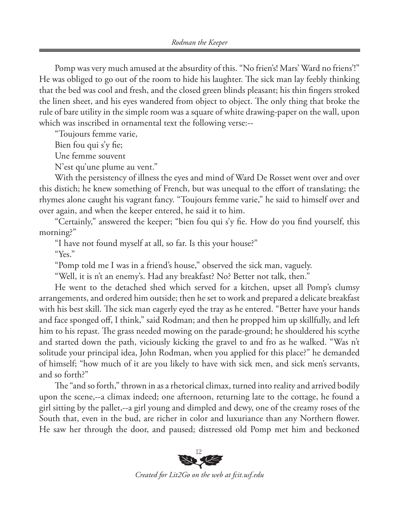Pomp was very much amused at the absurdity of this. "No frien's! Mars' Ward no friens'!" He was obliged to go out of the room to hide his laughter. The sick man lay feebly thinking that the bed was cool and fresh, and the closed green blinds pleasant; his thin fingers stroked the linen sheet, and his eyes wandered from object to object. The only thing that broke the rule of bare utility in the simple room was a square of white drawing-paper on the wall, upon which was inscribed in ornamental text the following verse:--

"Toujours femme varie,

Bien fou qui s'y fie;

Une femme souvent

N'est qu'une plume au vent."

With the persistency of illness the eyes and mind of Ward De Rosset went over and over this distich; he knew something of French, but was unequal to the effort of translating; the rhymes alone caught his vagrant fancy. "Toujours femme varie," he said to himself over and over again, and when the keeper entered, he said it to him.

"Certainly," answered the keeper; "bien fou qui s'y fie. How do you find yourself, this morning?"

"I have not found myself at all, so far. Is this your house?"

"Yes."

"Pomp told me I was in a friend's house," observed the sick man, vaguely.

"Well, it is n't an enemy's. Had any breakfast? No? Better not talk, then."

He went to the detached shed which served for a kitchen, upset all Pomp's clumsy arrangements, and ordered him outside; then he set to work and prepared a delicate breakfast with his best skill. The sick man eagerly eyed the tray as he entered. "Better have your hands and face sponged off, I think," said Rodman; and then he propped him up skillfully, and left him to his repast. The grass needed mowing on the parade-ground; he shouldered his scythe and started down the path, viciously kicking the gravel to and fro as he walked. "Was n't solitude your principal idea, John Rodman, when you applied for this place?" he demanded of himself; "how much of it are you likely to have with sick men, and sick men's servants, and so forth?"

The "and so forth," thrown in as a rhetorical climax, turned into reality and arrived bodily upon the scene,--a climax indeed; one afternoon, returning late to the cottage, he found a girl sitting by the pallet,--a girl young and dimpled and dewy, one of the creamy roses of the South that, even in the bud, are richer in color and luxuriance than any Northern flower. He saw her through the door, and paused; distressed old Pomp met him and beckoned



*Created for Lit2Go on the web at fcit.usf.edu*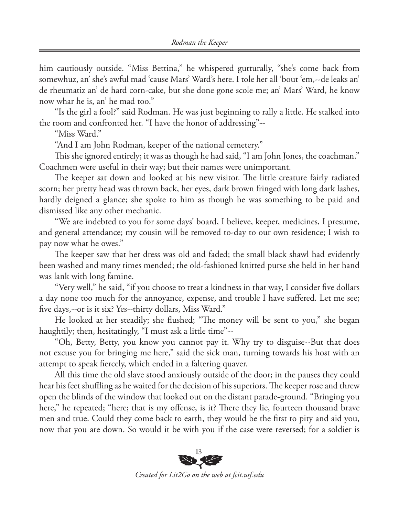him cautiously outside. "Miss Bettina," he whispered gutturally, "she's come back from somewhuz, an' she's awful mad 'cause Mars' Ward's here. I tole her all 'bout 'em,--de leaks an' de rheumatiz an' de hard corn-cake, but she done gone scole me; an' Mars' Ward, he know now whar he is, an' he mad too."

"Is the girl a fool?" said Rodman. He was just beginning to rally a little. He stalked into the room and confronted her. "I have the honor of addressing"--

"Miss Ward."

"And I am John Rodman, keeper of the national cemetery."

This she ignored entirely; it was as though he had said, "I am John Jones, the coachman." Coachmen were useful in their way; but their names were unimportant.

The keeper sat down and looked at his new visitor. The little creature fairly radiated scorn; her pretty head was thrown back, her eyes, dark brown fringed with long dark lashes, hardly deigned a glance; she spoke to him as though he was something to be paid and dismissed like any other mechanic.

"We are indebted to you for some days' board, I believe, keeper, medicines, I presume, and general attendance; my cousin will be removed to-day to our own residence; I wish to pay now what he owes."

The keeper saw that her dress was old and faded; the small black shawl had evidently been washed and many times mended; the old-fashioned knitted purse she held in her hand was lank with long famine.

"Very well," he said, "if you choose to treat a kindness in that way, I consider five dollars a day none too much for the annoyance, expense, and trouble I have suffered. Let me see; five days,--or is it six? Yes--thirty dollars, Miss Ward."

He looked at her steadily; she flushed; "The money will be sent to you," she began haughtily; then, hesitatingly, "I must ask a little time"--

"Oh, Betty, Betty, you know you cannot pay it. Why try to disguise--But that does not excuse you for bringing me here," said the sick man, turning towards his host with an attempt to speak fiercely, which ended in a faltering quaver.

All this time the old slave stood anxiously outside of the door; in the pauses they could hear his feet shuffling as he waited for the decision of his superiors. The keeper rose and threw open the blinds of the window that looked out on the distant parade-ground. "Bringing you here," he repeated; "here; that is my offense, is it? There they lie, fourteen thousand brave men and true. Could they come back to earth, they would be the first to pity and aid you, now that you are down. So would it be with you if the case were reversed; for a soldier is



*Created for Lit2Go on the web at fcit.usf.edu*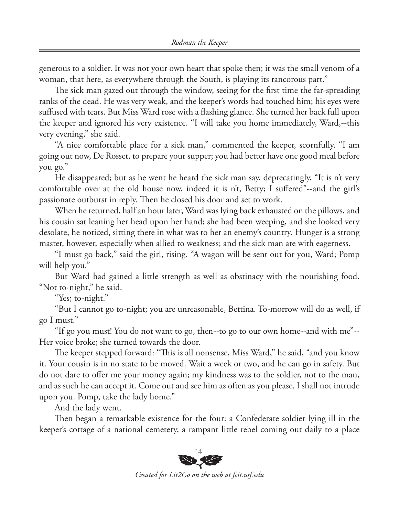generous to a soldier. It was not your own heart that spoke then; it was the small venom of a woman, that here, as everywhere through the South, is playing its rancorous part."

The sick man gazed out through the window, seeing for the first time the far-spreading ranks of the dead. He was very weak, and the keeper's words had touched him; his eyes were suffused with tears. But Miss Ward rose with a flashing glance. She turned her back full upon the keeper and ignored his very existence. "I will take you home immediately, Ward,--this very evening," she said.

"A nice comfortable place for a sick man," commented the keeper, scornfully. "I am going out now, De Rosset, to prepare your supper; you had better have one good meal before you go."

He disappeared; but as he went he heard the sick man say, deprecatingly, "It is n't very comfortable over at the old house now, indeed it is n't, Betty; I suffered"--and the girl's passionate outburst in reply. Then he closed his door and set to work.

When he returned, half an hour later, Ward was lying back exhausted on the pillows, and his cousin sat leaning her head upon her hand; she had been weeping, and she looked very desolate, he noticed, sitting there in what was to her an enemy's country. Hunger is a strong master, however, especially when allied to weakness; and the sick man ate with eagerness.

"I must go back," said the girl, rising. "A wagon will be sent out for you, Ward; Pomp will help you."

But Ward had gained a little strength as well as obstinacy with the nourishing food. "Not to-night," he said.

"Yes; to-night."

"But I cannot go to-night; you are unreasonable, Bettina. To-morrow will do as well, if go I must."

"If go you must! You do not want to go, then--to go to our own home--and with me"-- Her voice broke; she turned towards the door.

The keeper stepped forward: "This is all nonsense, Miss Ward," he said, "and you know it. Your cousin is in no state to be moved. Wait a week or two, and he can go in safety. But do not dare to offer me your money again; my kindness was to the soldier, not to the man, and as such he can accept it. Come out and see him as often as you please. I shall not intrude upon you. Pomp, take the lady home."

And the lady went.

Then began a remarkable existence for the four: a Confederate soldier lying ill in the keeper's cottage of a national cemetery, a rampant little rebel coming out daily to a place



*Created for Lit2Go on the web at fcit.usf.edu*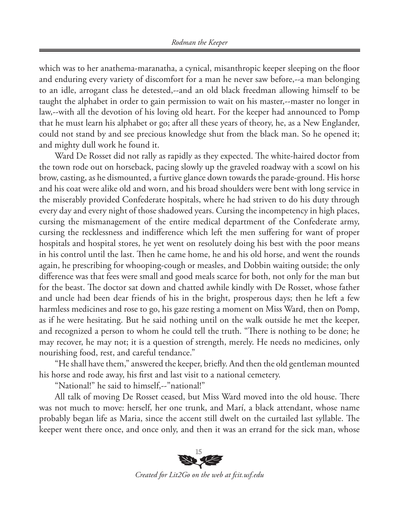which was to her anathema-maranatha, a cynical, misanthropic keeper sleeping on the floor and enduring every variety of discomfort for a man he never saw before,--a man belonging to an idle, arrogant class he detested,--and an old black freedman allowing himself to be taught the alphabet in order to gain permission to wait on his master,--master no longer in law,--with all the devotion of his loving old heart. For the keeper had announced to Pomp that he must learn his alphabet or go; after all these years of theory, he, as a New Englander, could not stand by and see precious knowledge shut from the black man. So he opened it; and mighty dull work he found it.

Ward De Rosset did not rally as rapidly as they expected. The white-haired doctor from the town rode out on horseback, pacing slowly up the graveled roadway with a scowl on his brow, casting, as he dismounted, a furtive glance down towards the parade-ground. His horse and his coat were alike old and worn, and his broad shoulders were bent with long service in the miserably provided Confederate hospitals, where he had striven to do his duty through every day and every night of those shadowed years. Cursing the incompetency in high places, cursing the mismanagement of the entire medical department of the Confederate army, cursing the recklessness and indifference which left the men suffering for want of proper hospitals and hospital stores, he yet went on resolutely doing his best with the poor means in his control until the last. Then he came home, he and his old horse, and went the rounds again, he prescribing for whooping-cough or measles, and Dobbin waiting outside; the only difference was that fees were small and good meals scarce for both, not only for the man but for the beast. The doctor sat down and chatted awhile kindly with De Rosset, whose father and uncle had been dear friends of his in the bright, prosperous days; then he left a few harmless medicines and rose to go, his gaze resting a moment on Miss Ward, then on Pomp, as if he were hesitating. But he said nothing until on the walk outside he met the keeper, and recognized a person to whom he could tell the truth. "There is nothing to be done; he may recover, he may not; it is a question of strength, merely. He needs no medicines, only nourishing food, rest, and careful tendance."

"He shall have them," answered the keeper, briefly. And then the old gentleman mounted his horse and rode away, his first and last visit to a national cemetery.

"National!" he said to himself,--"national!"

All talk of moving De Rosset ceased, but Miss Ward moved into the old house. There was not much to move: herself, her one trunk, and Marí, a black attendant, whose name probably began life as Maria, since the accent still dwelt on the curtailed last syllable. The keeper went there once, and once only, and then it was an errand for the sick man, whose



*Created for Lit2Go on the web at fcit.usf.edu*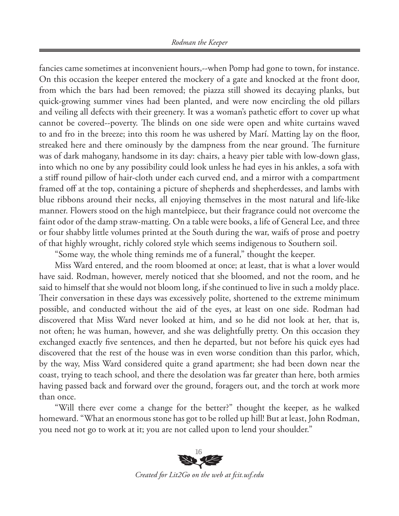fancies came sometimes at inconvenient hours,--when Pomp had gone to town, for instance. On this occasion the keeper entered the mockery of a gate and knocked at the front door, from which the bars had been removed; the piazza still showed its decaying planks, but quick-growing summer vines had been planted, and were now encircling the old pillars and veiling all defects with their greenery. It was a woman's pathetic effort to cover up what cannot be covered--poverty. The blinds on one side were open and white curtains waved to and fro in the breeze; into this room he was ushered by Marí. Matting lay on the floor, streaked here and there ominously by the dampness from the near ground. The furniture was of dark mahogany, handsome in its day: chairs, a heavy pier table with low-down glass, into which no one by any possibility could look unless he had eyes in his ankles, a sofa with a stiff round pillow of hair-cloth under each curved end, and a mirror with a compartment framed off at the top, containing a picture of shepherds and shepherdesses, and lambs with blue ribbons around their necks, all enjoying themselves in the most natural and life-like manner. Flowers stood on the high mantelpiece, but their fragrance could not overcome the faint odor of the damp straw-matting. On a table were books, a life of General Lee, and three or four shabby little volumes printed at the South during the war, waifs of prose and poetry of that highly wrought, richly colored style which seems indigenous to Southern soil.

"Some way, the whole thing reminds me of a funeral," thought the keeper.

Miss Ward entered, and the room bloomed at once; at least, that is what a lover would have said. Rodman, however, merely noticed that she bloomed, and not the room, and he said to himself that she would not bloom long, if she continued to live in such a moldy place. Their conversation in these days was excessively polite, shortened to the extreme minimum possible, and conducted without the aid of the eyes, at least on one side. Rodman had discovered that Miss Ward never looked at him, and so he did not look at her, that is, not often; he was human, however, and she was delightfully pretty. On this occasion they exchanged exactly five sentences, and then he departed, but not before his quick eyes had discovered that the rest of the house was in even worse condition than this parlor, which, by the way, Miss Ward considered quite a grand apartment; she had been down near the coast, trying to teach school, and there the desolation was far greater than here, both armies having passed back and forward over the ground, foragers out, and the torch at work more than once.

"Will there ever come a change for the better?" thought the keeper, as he walked homeward. "What an enormous stone has got to be rolled up hill! But at least, John Rodman, you need not go to work at it; you are not called upon to lend your shoulder."



*Created for Lit2Go on the web at fcit.usf.edu*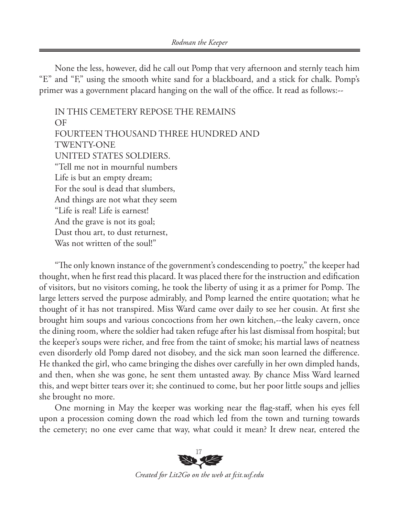None the less, however, did he call out Pomp that very afternoon and sternly teach him "E" and "F," using the smooth white sand for a blackboard, and a stick for chalk. Pomp's primer was a government placard hanging on the wall of the office. It read as follows:--

IN THIS CEMETERY REPOSE THE REMAINS OF FOURTEEN THOUSAND THREE HUNDRED AND TWENTY-ONE UNITED STATES SOLDIERS. "Tell me not in mournful numbers Life is but an empty dream; For the soul is dead that slumbers, And things are not what they seem "Life is real! Life is earnest! And the grave is not its goal; Dust thou art, to dust returnest, Was not written of the soul!"

"The only known instance of the government's condescending to poetry," the keeper had thought, when he first read this placard. It was placed there for the instruction and edification of visitors, but no visitors coming, he took the liberty of using it as a primer for Pomp. The large letters served the purpose admirably, and Pomp learned the entire quotation; what he thought of it has not transpired. Miss Ward came over daily to see her cousin. At first she brought him soups and various concoctions from her own kitchen,--the leaky cavern, once the dining room, where the soldier had taken refuge after his last dismissal from hospital; but the keeper's soups were richer, and free from the taint of smoke; his martial laws of neatness even disorderly old Pomp dared not disobey, and the sick man soon learned the difference. He thanked the girl, who came bringing the dishes over carefully in her own dimpled hands, and then, when she was gone, he sent them untasted away. By chance Miss Ward learned this, and wept bitter tears over it; she continued to come, but her poor little soups and jellies she brought no more.

One morning in May the keeper was working near the flag-staff, when his eyes fell upon a procession coming down the road which led from the town and turning towards the cemetery; no one ever came that way, what could it mean? It drew near, entered the



*Created for Lit2Go on the web at fcit.usf.edu*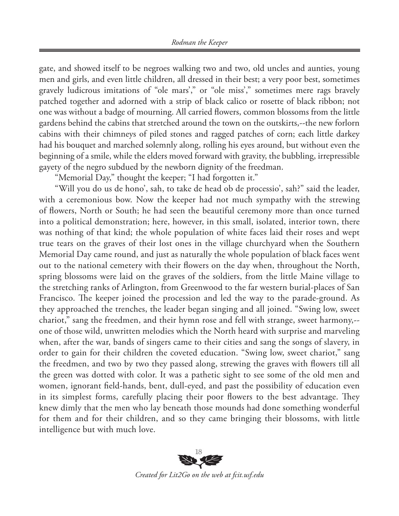gate, and showed itself to be negroes walking two and two, old uncles and aunties, young men and girls, and even little children, all dressed in their best; a very poor best, sometimes gravely ludicrous imitations of "ole mars'," or "ole miss'," sometimes mere rags bravely patched together and adorned with a strip of black calico or rosette of black ribbon; not one was without a badge of mourning. All carried flowers, common blossoms from the little gardens behind the cabins that stretched around the town on the outskirts,--the new forlorn cabins with their chimneys of piled stones and ragged patches of corn; each little darkey had his bouquet and marched solemnly along, rolling his eyes around, but without even the beginning of a smile, while the elders moved forward with gravity, the bubbling, irrepressible gayety of the negro subdued by the newborn dignity of the freedman.

"Memorial Day," thought the keeper; "I had forgotten it."

"Will you do us de hono', sah, to take de head ob de processio', sah?" said the leader, with a ceremonious bow. Now the keeper had not much sympathy with the strewing of flowers, North or South; he had seen the beautiful ceremony more than once turned into a political demonstration; here, however, in this small, isolated, interior town, there was nothing of that kind; the whole population of white faces laid their roses and wept true tears on the graves of their lost ones in the village churchyard when the Southern Memorial Day came round, and just as naturally the whole population of black faces went out to the national cemetery with their flowers on the day when, throughout the North, spring blossoms were laid on the graves of the soldiers, from the little Maine village to the stretching ranks of Arlington, from Greenwood to the far western burial-places of San Francisco. The keeper joined the procession and led the way to the parade-ground. As they approached the trenches, the leader began singing and all joined. "Swing low, sweet chariot," sang the freedmen, and their hymn rose and fell with strange, sweet harmony,- one of those wild, unwritten melodies which the North heard with surprise and marveling when, after the war, bands of singers came to their cities and sang the songs of slavery, in order to gain for their children the coveted education. "Swing low, sweet chariot," sang the freedmen, and two by two they passed along, strewing the graves with flowers till all the green was dotted with color. It was a pathetic sight to see some of the old men and women, ignorant field-hands, bent, dull-eyed, and past the possibility of education even in its simplest forms, carefully placing their poor flowers to the best advantage. They knew dimly that the men who lay beneath those mounds had done something wonderful for them and for their children, and so they came bringing their blossoms, with little intelligence but with much love.



*Created for Lit2Go on the web at fcit.usf.edu*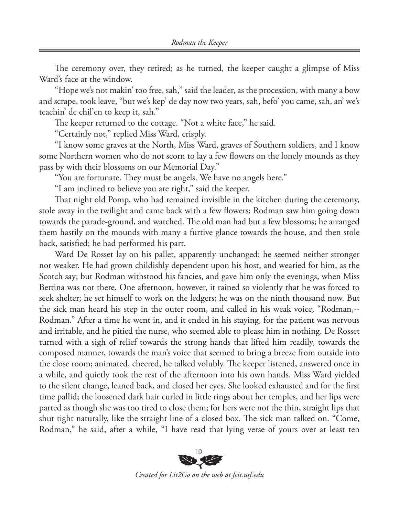The ceremony over, they retired; as he turned, the keeper caught a glimpse of Miss Ward's face at the window.

"Hope we's not makin' too free, sah," said the leader, as the procession, with many a bow and scrape, took leave, "but we's kep' de day now two years, sah, befo' you came, sah, an' we's teachin' de chil'en to keep it, sah."

The keeper returned to the cottage. "Not a white face," he said.

"Certainly not," replied Miss Ward, crisply.

"I know some graves at the North, Miss Ward, graves of Southern soldiers, and I know some Northern women who do not scorn to lay a few flowers on the lonely mounds as they pass by with their blossoms on our Memorial Day."

"You are fortunate. They must be angels. We have no angels here."

"I am inclined to believe you are right," said the keeper.

That night old Pomp, who had remained invisible in the kitchen during the ceremony, stole away in the twilight and came back with a few flowers; Rodman saw him going down towards the parade-ground, and watched. The old man had but a few blossoms; he arranged them hastily on the mounds with many a furtive glance towards the house, and then stole back, satisfied; he had performed his part.

Ward De Rosset lay on his pallet, apparently unchanged; he seemed neither stronger nor weaker. He had grown childishly dependent upon his host, and wearied for him, as the Scotch say; but Rodman withstood his fancies, and gave him only the evenings, when Miss Bettina was not there. One afternoon, however, it rained so violently that he was forced to seek shelter; he set himself to work on the ledgers; he was on the ninth thousand now. But the sick man heard his step in the outer room, and called in his weak voice, "Rodman,-- Rodman." After a time he went in, and it ended in his staying, for the patient was nervous and irritable, and he pitied the nurse, who seemed able to please him in nothing. De Rosset turned with a sigh of relief towards the strong hands that lifted him readily, towards the composed manner, towards the man's voice that seemed to bring a breeze from outside into the close room; animated, cheered, he talked volubly. The keeper listened, answered once in a while, and quietly took the rest of the afternoon into his own hands. Miss Ward yielded to the silent change, leaned back, and closed her eyes. She looked exhausted and for the first time pallid; the loosened dark hair curled in little rings about her temples, and her lips were parted as though she was too tired to close them; for hers were not the thin, straight lips that shut tight naturally, like the straight line of a closed box. The sick man talked on. "Come, Rodman," he said, after a while, "I have read that lying verse of yours over at least ten



*Created for Lit2Go on the web at fcit.usf.edu*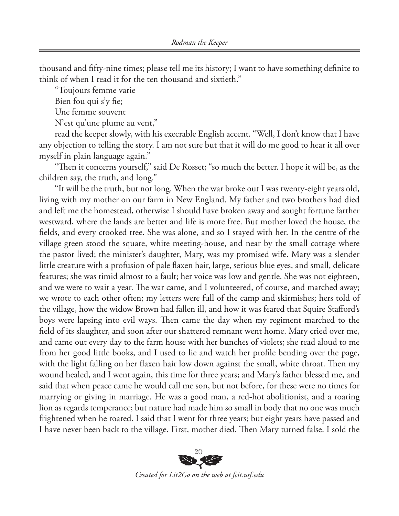thousand and fifty-nine times; please tell me its history; I want to have something definite to think of when I read it for the ten thousand and sixtieth."

"Toujours femme varie

Bien fou qui s'y fie;

Une femme souvent

N'est qu'une plume au vent,"

read the keeper slowly, with his execrable English accent. "Well, I don't know that I have any objection to telling the story. I am not sure but that it will do me good to hear it all over myself in plain language again."

"Then it concerns yourself," said De Rosset; "so much the better. I hope it will be, as the children say, the truth, and long."

"It will be the truth, but not long. When the war broke out I was twenty-eight years old, living with my mother on our farm in New England. My father and two brothers had died and left me the homestead, otherwise I should have broken away and sought fortune farther westward, where the lands are better and life is more free. But mother loved the house, the fields, and every crooked tree. She was alone, and so I stayed with her. In the centre of the village green stood the square, white meeting-house, and near by the small cottage where the pastor lived; the minister's daughter, Mary, was my promised wife. Mary was a slender little creature with a profusion of pale flaxen hair, large, serious blue eyes, and small, delicate features; she was timid almost to a fault; her voice was low and gentle. She was not eighteen, and we were to wait a year. The war came, and I volunteered, of course, and marched away; we wrote to each other often; my letters were full of the camp and skirmishes; hers told of the village, how the widow Brown had fallen ill, and how it was feared that Squire Stafford's boys were lapsing into evil ways. Then came the day when my regiment marched to the field of its slaughter, and soon after our shattered remnant went home. Mary cried over me, and came out every day to the farm house with her bunches of violets; she read aloud to me from her good little books, and I used to lie and watch her profile bending over the page, with the light falling on her flaxen hair low down against the small, white throat. Then my wound healed, and I went again, this time for three years; and Mary's father blessed me, and said that when peace came he would call me son, but not before, for these were no times for marrying or giving in marriage. He was a good man, a red-hot abolitionist, and a roaring lion as regards temperance; but nature had made him so small in body that no one was much frightened when he roared. I said that I went for three years; but eight years have passed and I have never been back to the village. First, mother died. Then Mary turned false. I sold the



*Created for Lit2Go on the web at fcit.usf.edu*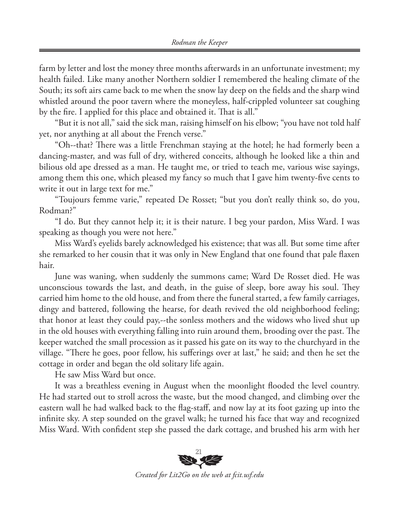farm by letter and lost the money three months afterwards in an unfortunate investment; my health failed. Like many another Northern soldier I remembered the healing climate of the South; its soft airs came back to me when the snow lay deep on the fields and the sharp wind whistled around the poor tavern where the moneyless, half-crippled volunteer sat coughing by the fire. I applied for this place and obtained it. That is all."

"But it is not all," said the sick man, raising himself on his elbow; "you have not told half yet, nor anything at all about the French verse."

"Oh--that? There was a little Frenchman staying at the hotel; he had formerly been a dancing-master, and was full of dry, withered conceits, although he looked like a thin and bilious old ape dressed as a man. He taught me, or tried to teach me, various wise sayings, among them this one, which pleased my fancy so much that I gave him twenty-five cents to write it out in large text for me."

"Toujours femme varie," repeated De Rosset; "but you don't really think so, do you, Rodman?"

"I do. But they cannot help it; it is their nature. I beg your pardon, Miss Ward. I was speaking as though you were not here."

Miss Ward's eyelids barely acknowledged his existence; that was all. But some time after she remarked to her cousin that it was only in New England that one found that pale flaxen hair.

June was waning, when suddenly the summons came; Ward De Rosset died. He was unconscious towards the last, and death, in the guise of sleep, bore away his soul. They carried him home to the old house, and from there the funeral started, a few family carriages, dingy and battered, following the hearse, for death revived the old neighborhood feeling; that honor at least they could pay,--the sonless mothers and the widows who lived shut up in the old houses with everything falling into ruin around them, brooding over the past. The keeper watched the small procession as it passed his gate on its way to the churchyard in the village. "There he goes, poor fellow, his sufferings over at last," he said; and then he set the cottage in order and began the old solitary life again.

He saw Miss Ward but once.

It was a breathless evening in August when the moonlight flooded the level country. He had started out to stroll across the waste, but the mood changed, and climbing over the eastern wall he had walked back to the flag-staff, and now lay at its foot gazing up into the infinite sky. A step sounded on the gravel walk; he turned his face that way and recognized Miss Ward. With confident step she passed the dark cottage, and brushed his arm with her



*Created for Lit2Go on the web at fcit.usf.edu*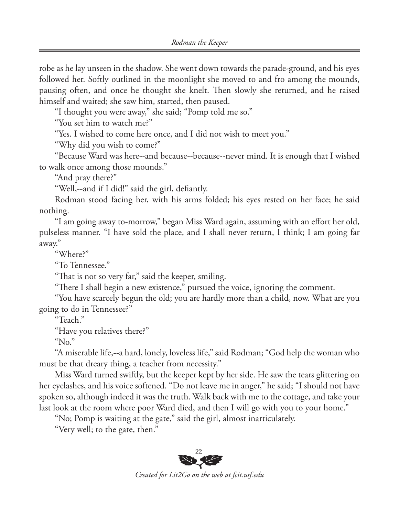robe as he lay unseen in the shadow. She went down towards the parade-ground, and his eyes followed her. Softly outlined in the moonlight she moved to and fro among the mounds, pausing often, and once he thought she knelt. Then slowly she returned, and he raised himself and waited; she saw him, started, then paused.

"I thought you were away," she said; "Pomp told me so."

"You set him to watch me?"

"Yes. I wished to come here once, and I did not wish to meet you."

"Why did you wish to come?"

"Because Ward was here--and because--because--never mind. It is enough that I wished to walk once among those mounds."

"And pray there?"

"Well,--and if I did!" said the girl, defiantly.

Rodman stood facing her, with his arms folded; his eyes rested on her face; he said nothing.

"I am going away to-morrow," began Miss Ward again, assuming with an effort her old, pulseless manner. "I have sold the place, and I shall never return, I think; I am going far away."

"Where?"

"To Tennessee."

"That is not so very far," said the keeper, smiling.

"There I shall begin a new existence," pursued the voice, ignoring the comment.

"You have scarcely begun the old; you are hardly more than a child, now. What are you going to do in Tennessee?"

"Teach."

"Have you relatives there?"

"No."

"A miserable life,--a hard, lonely, loveless life," said Rodman; "God help the woman who must be that dreary thing, a teacher from necessity."

Miss Ward turned swiftly, but the keeper kept by her side. He saw the tears glittering on her eyelashes, and his voice softened. "Do not leave me in anger," he said; "I should not have spoken so, although indeed it was the truth. Walk back with me to the cottage, and take your last look at the room where poor Ward died, and then I will go with you to your home."

"No; Pomp is waiting at the gate," said the girl, almost inarticulately.

"Very well; to the gate, then."

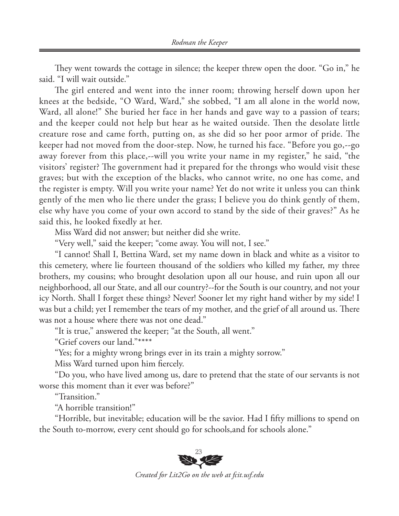They went towards the cottage in silence; the keeper threw open the door. "Go in," he said. "I will wait outside."

The girl entered and went into the inner room; throwing herself down upon her knees at the bedside, "O Ward, Ward," she sobbed, "I am all alone in the world now, Ward, all alone!" She buried her face in her hands and gave way to a passion of tears; and the keeper could not help but hear as he waited outside. Then the desolate little creature rose and came forth, putting on, as she did so her poor armor of pride. The keeper had not moved from the door-step. Now, he turned his face. "Before you go,--go away forever from this place,--will you write your name in my register," he said, "the visitors' register? The government had it prepared for the throngs who would visit these graves; but with the exception of the blacks, who cannot write, no one has come, and the register is empty. Will you write your name? Yet do not write it unless you can think gently of the men who lie there under the grass; I believe you do think gently of them, else why have you come of your own accord to stand by the side of their graves?" As he said this, he looked fixedly at her.

Miss Ward did not answer; but neither did she write.

"Very well," said the keeper; "come away. You will not, I see."

"I cannot! Shall I, Bettina Ward, set my name down in black and white as a visitor to this cemetery, where lie fourteen thousand of the soldiers who killed my father, my three brothers, my cousins; who brought desolation upon all our house, and ruin upon all our neighborhood, all our State, and all our country?--for the South is our country, and not your icy North. Shall I forget these things? Never! Sooner let my right hand wither by my side! I was but a child; yet I remember the tears of my mother, and the grief of all around us. There was not a house where there was not one dead."

"It is true," answered the keeper; "at the South, all went."

"Grief covers our land."\*\*\*\*

"Yes; for a mighty wrong brings ever in its train a mighty sorrow."

Miss Ward turned upon him fiercely.

"Do you, who have lived among us, dare to pretend that the state of our servants is not worse this moment than it ever was before?"

"Transition."

"A horrible transition!"

"Horrible, but inevitable; education will be the savior. Had I fifty millions to spend on the South to-morrow, every cent should go for schools,and for schools alone."



*Created for Lit2Go on the web at fcit.usf.edu*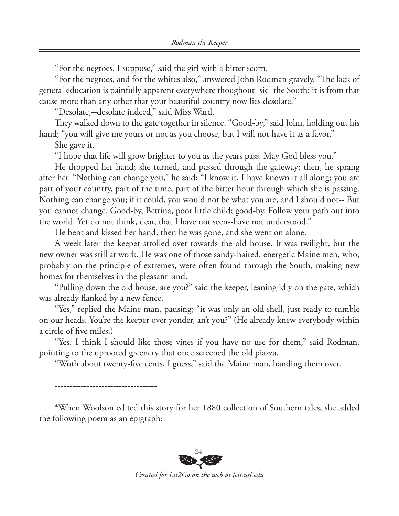"For the negroes, I suppose," said the girl with a bitter scorn.

"For the negroes, and for the whites also," answered John Rodman gravely. "The lack of general education is painfully apparent everywhere thoughout [sic] the South; it is from that cause more than any other that your beautiful country now lies desolate."

"Desolate,--desolate indeed," said Miss Ward.

They walked down to the gate together in silence. "Good-by," said John, holding out his hand; "you will give me yours or not as you choose, but I will not have it as a favor."

She gave it.

-----------------------------------

"I hope that life will grow brighter to you as the years pass. May God bless you."

He dropped her hand; she turned, and passed through the gateway; then, he sprang after her. "Nothing can change you," he said; "I know it, I have known it all along; you are part of your country, part of the time, part of the bitter hour through which she is passing. Nothing can change you; if it could, you would not be what you are, and I should not-- But you cannot change. Good-by, Bettina, poor little child; good-by. Follow your path out into the world. Yet do not think, dear, that I have not seen--have not understood."

He bent and kissed her hand; then he was gone, and she went on alone.

A week later the keeper strolled over towards the old house. It was twilight, but the new owner was still at work. He was one of those sandy-haired, energetic Maine men, who, probably on the principle of extremes, were often found through the South, making new homes for themselves in the pleasant land.

"Pulling down the old house, are you?" said the keeper, leaning idly on the gate, which was already flanked by a new fence.

"Yes," replied the Maine man, pausing; "it was only an old shell, just ready to tumble on our heads. You're the keeper over yonder, an't you?" (He already knew everybody within a circle of five miles.)

"Yes. I think I should like those vines if you have no use for them," said Rodman, pointing to the uprooted greenery that once screened the old piazza.

"Wuth about twenty-five cents, I guess," said the Maine man, handing them over.

\*When Woolson edited this story for her 1880 collection of Southern tales, she added the following poem as an epigraph: